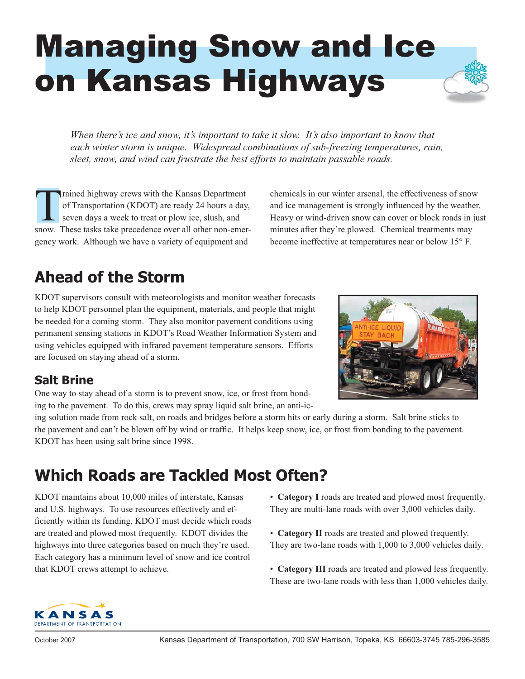# Managing Snow and Ice on Kansas Highways

*When there's ice and snow, it's important to take it slow. It's also important to know that each winter storm is unique. Widespread combinations of sub-freezing temperatures, rain, sleet, snow, and wind can frustrate the best efforts to maintain passable roads.* 

Trained highway crews with the Kansas Department of Transportation (KDOT) are ready 24 hours a day, seven days a week to treat or plow ice, slush, and snow. These tasks take precedence over all other non-emergency work. Although we have a variety of equipment and

chemicals in our winter arsenal, the effectiveness of snow and ice management is strongly influenced by the weather. Heavy or wind-driven snow can cover or block roads in just minutes after they're plowed. Chemical treatments may become ineffective at temperatures near or below 15° F.

#### **Ahead of the Storm**

KDOT supervisors consult with meteorologists and monitor weather forecasts to help KDOT personnel plan the equipment, materials, and people that might be needed for a coming storm. They also monitor pavement conditions using permanent sensing stations in KDOT's Road Weather Information System and using vehicles equipped with infrared pavement temperature sensors. Efforts are focused on staying ahead of a storm.

#### **Salt Brine**

One way to stay ahead of a storm is to prevent snow, ice, or frost from bonding to the pavement. To do this, crews may spray liquid salt brine, an anti-ic-

ing solution made from rock salt, on roads and bridges before a storm hits or early during a storm. Salt brine sticks to the pavement and can't be blown off by wind or traffic. It helps keep snow, ice, or frost from bonding to the pavement. KDOT has been using salt brine since 1998.

### **Which Roads are Tackled Most Often?**

KDOT maintains about 10,000 miles of interstate, Kansas and U.S. highways. To use resources effectively and efficiently within its funding, KDOT must decide which roads are treated and plowed most frequently. KDOT divides the highways into three categories based on much they're used. Each category has a minimum level of snow and ice control that KDOT crews attempt to achieve.

• **Category I** roads are treated and plowed most frequently. They are multi-lane roads with over 3,000 vehicles daily.

- **Category II** roads are treated and plowed frequently. They are two-lane roads with 1,000 to 3,000 vehicles daily.
- **Category III** roads are treated and plowed less frequently. These are two-lane roads with less than 1,000 vehicles daily.